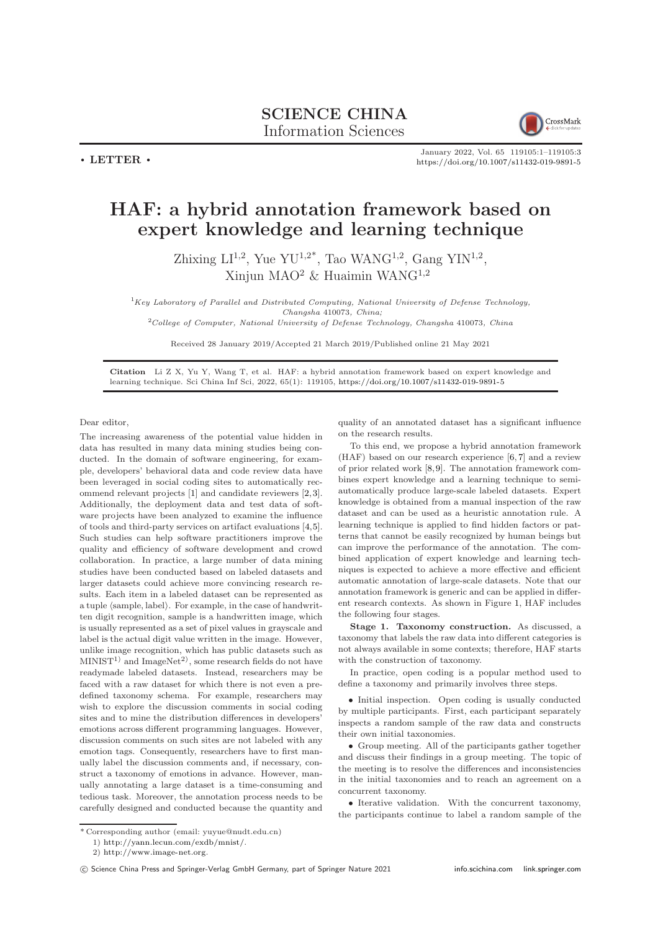

 $\cdot$  LETTER  $\cdot$ 

January 2022, Vol. 65 119105:1–119105[:3](#page-2-0) <https://doi.org/10.1007/s11432-019-9891-5>

## HAF: a hybrid annotation framework based on expert knowledge and learning technique

Zhixing  $LI^{1,2}$ , Yue YU<sup>1,2\*</sup>, Tao WANG<sup>1,2</sup>, Gang YIN<sup>1,2</sup>, Xinjun MAO<sup>2</sup> & Huaimin WAN $G<sup>1,2</sup>$ 

 ${}^{1}$ Key Laboratory of Parallel and Distributed Computing, National University of Defense Technology, Changsha 410073, China;

 $2^2$ College of Computer, National University of Defense Technology, Changsha 410073, China

Received 28 January 2019/Accepted 21 March 2019/Published online 21 May 2021

Citation Li Z X, Yu Y, Wang T, et al. HAF: a hybrid annotation framework based on expert knowledge and learning technique. Sci China Inf Sci, 2022, 65(1): 119105, <https://doi.org/10.1007/s11432-019-9891-5>

Dear editor,

The increasing awareness of the potential value hidden in data has resulted in many data mining studies being conducted. In the domain of software engineering, for example, developers' behavioral data and code review data have been leveraged in social coding sites to automatically recommend relevant projects [\[1\]](#page-2-1) and candidate reviewers [\[2,](#page-2-2)[3\]](#page-2-3). Additionally, the deployment data and test data of software projects have been analyzed to examine the influence of tools and third-party services on artifact evaluations [\[4,](#page-2-4)[5\]](#page-2-5). Such studies can help software practitioners improve the quality and efficiency of software development and crowd collaboration. In practice, a large number of data mining studies have been conducted based on labeled datasets and larger datasets could achieve more convincing research results. Each item in a labeled dataset can be represented as a tuple  $\langle \text{sample, label} \rangle$ . For example, in the case of handwritten digit recognition, sample is a handwritten image, which is usually represented as a set of pixel values in grayscale and label is the actual digit value written in the image. However, unlike image recognition, which has public datasets such as  $MINIST<sup>1</sup>$  and  $ImageNet<sup>2</sup>$ , some research fields do not have readymade labeled datasets. Instead, researchers may be faced with a raw dataset for which there is not even a predefined taxonomy schema. For example, researchers may wish to explore the discussion comments in social coding sites and to mine the distribution differences in developers' emotions across different programming languages. However, discussion comments on such sites are not labeled with any emotion tags. Consequently, researchers have to first manually label the discussion comments and, if necessary, construct a taxonomy of emotions in advance. However, manually annotating a large dataset is a time-consuming and tedious task. Moreover, the annotation process needs to be carefully designed and conducted because the quantity and

quality of an annotated dataset has a significant influence on the research results.

To this end, we propose a hybrid annotation framework (HAF) based on our research experience [\[6,](#page-2-6) [7\]](#page-2-7) and a review of prior related work [\[8,](#page-2-8)[9\]](#page-2-9). The annotation framework combines expert knowledge and a learning technique to semiautomatically produce large-scale labeled datasets. Expert knowledge is obtained from a manual inspection of the raw dataset and can be used as a heuristic annotation rule. A learning technique is applied to find hidden factors or patterns that cannot be easily recognized by human beings but can improve the performance of the annotation. The combined application of expert knowledge and learning techniques is expected to achieve a more effective and efficient automatic annotation of large-scale datasets. Note that our annotation framework is generic and can be applied in different research contexts. As shown in Figure [1,](#page-1-0) HAF includes the following four stages.

Stage 1. Taxonomy construction. As discussed, a taxonomy that labels the raw data into different categories is not always available in some contexts; therefore, HAF starts with the construction of taxonomy.

In practice, open coding is a popular method used to define a taxonomy and primarily involves three steps.

• Initial inspection. Open coding is usually conducted by multiple participants. First, each participant separately inspects a random sample of the raw data and constructs their own initial taxonomies.

• Group meeting. All of the participants gather together and discuss their findings in a group meeting. The topic of the meeting is to resolve the differences and inconsistencies in the initial taxonomies and to reach an agreement on a concurrent taxonomy.

• Iterative validation. With the concurrent taxonomy, the participants continue to label a random sample of the

<sup>\*</sup> Corresponding author (email: yuyue@nudt.edu.cn)

<sup>1)</sup> [http://yann.lecun.com/exdb/mnist/.](http://yann.lecun.com/exdb/mnist/)

<sup>2)</sup> [http://www.image-net.org.](http://www.image-net.org)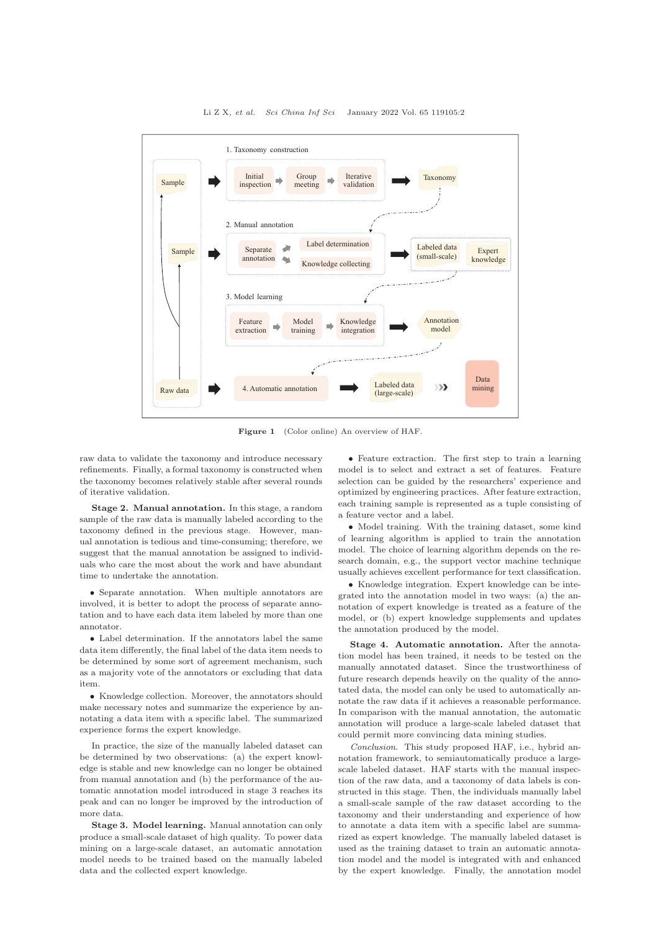<span id="page-1-0"></span>

Li Z X, et al. Sci China Inf Sci January 2022 Vol. 65 119105:2

Figure 1 (Color online) An overview of HAF.

raw data to validate the taxonomy and introduce necessary refinements. Finally, a formal taxonomy is constructed when the taxonomy becomes relatively stable after several rounds of iterative validation.

Stage 2. Manual annotation. In this stage, a random sample of the raw data is manually labeled according to the taxonomy defined in the previous stage. However, manual annotation is tedious and time-consuming; therefore, we suggest that the manual annotation be assigned to individuals who care the most about the work and have abundant time to undertake the annotation.

• Separate annotation. When multiple annotators are involved, it is better to adopt the process of separate annotation and to have each data item labeled by more than one annotator.

• Label determination. If the annotators label the same data item differently, the final label of the data item needs to be determined by some sort of agreement mechanism, such as a majority vote of the annotators or excluding that data item.

• Knowledge collection. Moreover, the annotators should make necessary notes and summarize the experience by annotating a data item with a specific label. The summarized experience forms the expert knowledge.

In practice, the size of the manually labeled dataset can be determined by two observations: (a) the expert knowledge is stable and new knowledge can no longer be obtained from manual annotation and (b) the performance of the automatic annotation model introduced in stage 3 reaches its peak and can no longer be improved by the introduction of more data.

Stage 3. Model learning. Manual annotation can only produce a small-scale dataset of high quality. To power data mining on a large-scale dataset, an automatic annotation model needs to be trained based on the manually labeled data and the collected expert knowledge.

• Feature extraction. The first step to train a learning model is to select and extract a set of features. Feature selection can be guided by the researchers' experience and optimized by engineering practices. After feature extraction, each training sample is represented as a tuple consisting of a feature vector and a label.

• Model training. With the training dataset, some kind of learning algorithm is applied to train the annotation model. The choice of learning algorithm depends on the research domain, e.g., the support vector machine technique usually achieves excellent performance for text classification.

• Knowledge integration. Expert knowledge can be integrated into the annotation model in two ways: (a) the annotation of expert knowledge is treated as a feature of the model, or (b) expert knowledge supplements and updates the annotation produced by the model.

Stage 4. Automatic annotation. After the annotation model has been trained, it needs to be tested on the manually annotated dataset. Since the trustworthiness of future research depends heavily on the quality of the annotated data, the model can only be used to automatically annotate the raw data if it achieves a reasonable performance. In comparison with the manual annotation, the automatic annotation will produce a large-scale labeled dataset that could permit more convincing data mining studies.

Conclusion. This study proposed HAF, i.e., hybrid annotation framework, to semiautomatically produce a largescale labeled dataset. HAF starts with the manual inspection of the raw data, and a taxonomy of data labels is constructed in this stage. Then, the individuals manually label a small-scale sample of the raw dataset according to the taxonomy and their understanding and experience of how to annotate a data item with a specific label are summarized as expert knowledge. The manually labeled dataset is used as the training dataset to train an automatic annotation model and the model is integrated with and enhanced by the expert knowledge. Finally, the annotation model